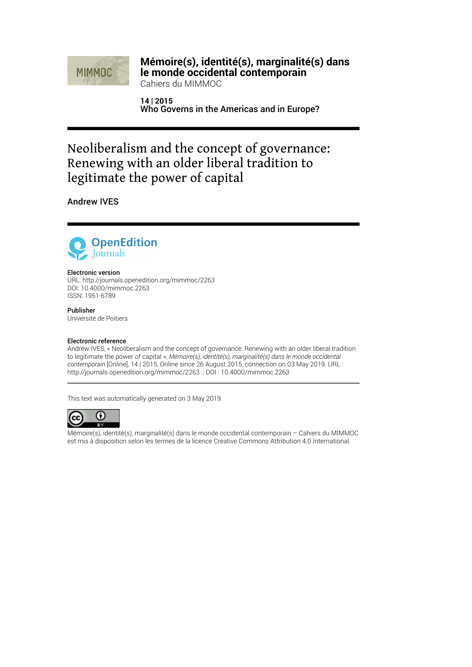

### **Mémoire(s), identité(s), marginalité(s) dans le monde occidental contemporain**

Cahiers du MIMMOC

**14 | 2015** Who Governs in the Americas and in Europe?

# Neoliberalism and the concept of governance: Renewing with an older liberal tradition to legitimate the power of capital

Andrew IVES



#### Electronic version

URL:<http://journals.openedition.org/mimmoc/2263> DOI: 10.4000/mimmoc.2263 ISSN: 1951-6789

Publisher Université de Poitiers

#### Electronic reference

Andrew IVES, « Neoliberalism and the concept of governance: Renewing with an older liberal tradition to legitimate the power of capital », *Mémoire(s), identité(s), marginalité(s) dans le monde occidental contemporain* [Online], 14 | 2015, Online since 26 August 2015, connection on 03 May 2019. URL : http://journals.openedition.org/mimmoc/2263 ; DOI : 10.4000/mimmoc.2263

This text was automatically generated on 3 May 2019.



Mémoire(s), identité(s), marginalité(s) dans le monde occidental contemporain – Cahiers du MIMMOC est mis à disposition selon les termes de la [licence Creative Commons Attribution 4.0 International.](http://creativecommons.org/licenses/by/4.0/)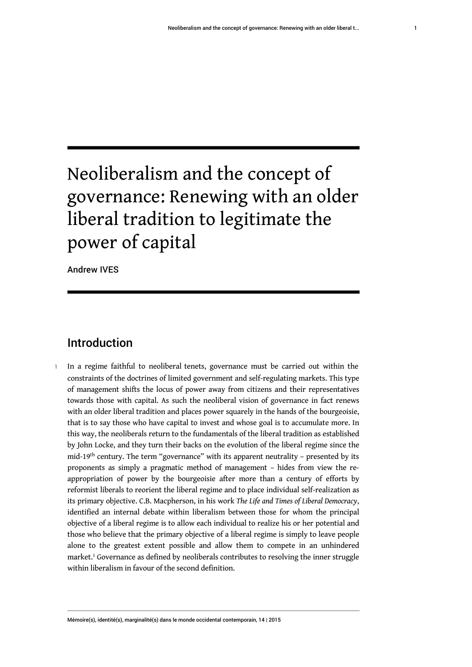# Neoliberalism and the concept of governance: Renewing with an older liberal tradition to legitimate the power of capital

Andrew IVES

# Introduction

<span id="page-1-0"></span>1 In a regime faithful to neoliberal tenets, governance must be carried out within the constraints of the doctrines of limited government and self-regulating markets. This type of management shifts the locus of power away from citizens and their representatives towards those with capital. As such the neoliberal vision of governance in fact renews with an older liberal tradition and places power squarely in the hands of the bourgeoisie, that is to say those who have capital to invest and whose goal is to accumulate more. In this way, the neoliberals return to the fundamentals of the liberal tradition as established by John Locke, and they turn their backs on the evolution of the liberal regime since the mid-19th century. The term "governance" with its apparent neutrality – presented by its proponents as simply a pragmatic method of management – hides from view the reappropriation of power by the bourgeoisie after more than a century of efforts by reformist liberals to reorient the liberal regime and to place individual self-realization as its primary objective. C.B. Macpherson, in his work *The Life and Times of Liberal Democracy*, identified an internal debate within liberalism between those for whom the principal objective of a liberal regime is to allow each individual to realize his or her potential and those who believe that the primary objective of a liberal regime is simply to leave people alone to the greatest extent possible and allow them to compete in an unhindered market.[1](#page-9-0) Governance as defined by neoliberals contributes to resolving the inner struggle within liberalism in favour of the second definition.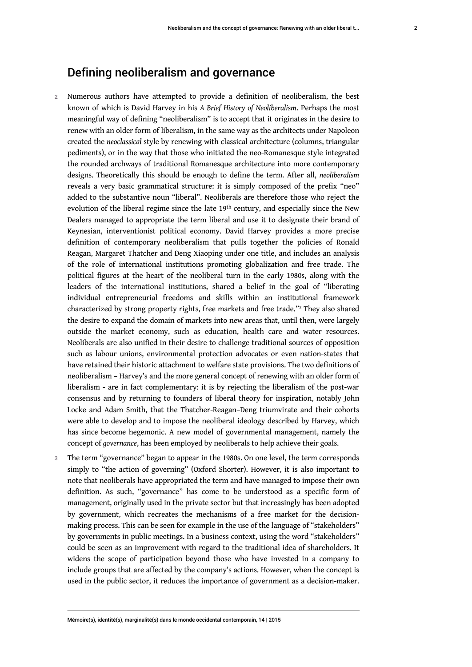#### Defining neoliberalism and governance

- 2 Numerous authors have attempted to provide a definition of neoliberalism, the best known of which is David Harvey in his *A Brief History of Neoliberalism*. Perhaps the most meaningful way of defining "neoliberalism" is to accept that it originates in the desire to renew with an older form of liberalism, in the same way as the architects under Napoleon created the *neoclassical* style by renewing with classical architecture (columns, triangular pediments), or in the way that those who initiated the neo-Romanesque style integrated the rounded archways of traditional Romanesque architecture into more contemporary designs. Theoretically this should be enough to define the term. After all, *neoliberalism* reveals a very basic grammatical structure: it is simply composed of the prefix "neo" added to the substantive noun "liberal". Neoliberals are therefore those who reject the evolution of the liberal regime since the late 19<sup>th</sup> century, and especially since the New Dealers managed to appropriate the term liberal and use it to designate their brand of Keynesian, interventionist political economy. David Harvey provides a more precise definition of contemporary neoliberalism that pulls together the policies of Ronald Reagan, Margaret Thatcher and Deng Xiaoping under one title, and includes an analysis of the role of international institutions promoting globalization and free trade. The political figures at the heart of the neoliberal turn in the early 1980s, along with the leaders of the international institutions, shared a belief in the goal of "liberating individual entrepreneurial freedoms and skills within an institutional framework characterized by strong property rights, free markets and free trade."<sup>[2](#page-9-1)</sup> They also shared the desire to expand the domain of markets into new areas that, until then, were largely outside the market economy, such as education, health care and water resources. Neoliberals are also unified in their desire to challenge traditional sources of opposition such as labour unions, environmental protection advocates or even nation-states that have retained their historic attachment to welfare state provisions. The two definitions of neoliberalism – Harvey's and the more general concept of renewing with an older form of liberalism - are in fact complementary: it is by rejecting the liberalism of the post-war consensus and by returning to founders of liberal theory for inspiration, notably John Locke and Adam Smith, that the Thatcher-Reagan–Deng triumvirate and their cohorts were able to develop and to impose the neoliberal ideology described by Harvey, which has since become hegemonic. A new model of governmental management, namely the concept of *governance*, has been employed by neoliberals to help achieve their goals.
- <span id="page-2-0"></span>The term "governance" began to appear in the 1980s. On one level, the term corresponds simply to "the action of governing" (Oxford Shorter). However, it is also important to note that neoliberals have appropriated the term and have managed to impose their own definition. As such, "governance" has come to be understood as a specific form of management, originally used in the private sector but that increasingly has been adopted by government, which recreates the mechanisms of a free market for the decisionmaking process. This can be seen for example in the use of the language of "stakeholders" by governments in public meetings. In a business context, using the word "stakeholders" could be seen as an improvement with regard to the traditional idea of shareholders. It widens the scope of participation beyond those who have invested in a company to include groups that are affected by the company's actions. However, when the concept is used in the public sector, it reduces the importance of government as a decision-maker.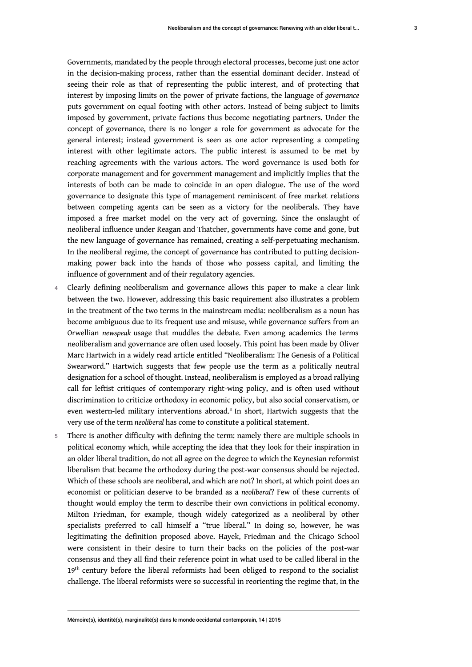Governments, mandated by the people through electoral processes, become just one actor in the decision-making process, rather than the essential dominant decider. Instead of seeing their role as that of representing the public interest, and of protecting that interest by imposing limits on the power of private factions, the language of *governance* puts government on equal footing with other actors. Instead of being subject to limits imposed by government, private factions thus become negotiating partners. Under the concept of governance, there is no longer a role for government as advocate for the general interest; instead government is seen as one actor representing a competing interest with other legitimate actors. The public interest is assumed to be met by reaching agreements with the various actors. The word governance is used both for corporate management and for government management and implicitly implies that the interests of both can be made to coincide in an open dialogue. The use of the word governance to designate this type of management reminiscent of free market relations between competing agents can be seen as a victory for the neoliberals. They have imposed a free market model on the very act of governing. Since the onslaught of neoliberal influence under Reagan and Thatcher, governments have come and gone, but the new language of governance has remained, creating a self-perpetuating mechanism. In the neoliberal regime, the concept of governance has contributed to putting decisionmaking power back into the hands of those who possess capital, and limiting the

4 Clearly defining neoliberalism and governance allows this paper to make a clear link between the two. However, addressing this basic requirement also illustrates a problem in the treatment of the two terms in the mainstream media: neoliberalism as a noun has become ambiguous due to its frequent use and misuse, while governance suffers from an Orwellian *newspeak* usage that muddles the debate. Even among academics the terms neoliberalism and governance are often used loosely. This point has been made by Oliver Marc Hartwich in a widely read article entitled "Neoliberalism: The Genesis of a Political Swearword." Hartwich suggests that few people use the term as a politically neutral designation for a school of thought. Instead, neoliberalism is employed as a broad rallying call for leftist critiques of contemporary right-wing policy, and is often used without discrimination to criticize orthodoxy in economic policy, but also social conservatism, or even western-led military interventions abroad.<sup>[3](#page-9-2)</sup> In short, Hartwich suggests that the very use of the term *neoliberal* has come to constitute a political statement.

influence of government and of their regulatory agencies.

<span id="page-3-0"></span>5 There is another difficulty with defining the term: namely there are multiple schools in political economy which, while accepting the idea that they look for their inspiration in an older liberal tradition, do not all agree on the degree to which the Keynesian reformist liberalism that became the orthodoxy during the post-war consensus should be rejected. Which of these schools are neoliberal, and which are not? In short, at which point does an economist or politician deserve to be branded as a *neoliberal*? Few of these currents of thought would employ the term to describe their own convictions in political economy. Milton Friedman, for example, though widely categorized as a neoliberal by other specialists preferred to call himself a "true liberal." In doing so, however, he was legitimating the definition proposed above. Hayek, Friedman and the Chicago School were consistent in their desire to turn their backs on the policies of the post-war consensus and they all find their reference point in what used to be called liberal in the 19<sup>th</sup> century before the liberal reformists had been obliged to respond to the socialist challenge. The liberal reformists were so successful in reorienting the regime that, in the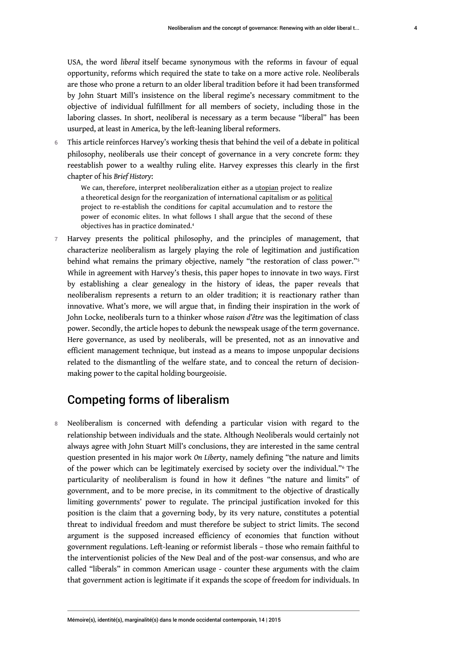USA, the word *liberal* itself became synonymous with the reforms in favour of equal opportunity, reforms which required the state to take on a more active role. Neoliberals are those who prone a return to an older liberal tradition before it had been transformed by John Stuart Mill's insistence on the liberal regime's necessary commitment to the objective of individual fulfillment for all members of society, including those in the laboring classes. In short, neoliberal is necessary as a term because "liberal" has been usurped, at least in America, by the left-leaning liberal reformers.

6 This article reinforces Harvey's working thesis that behind the veil of a debate in political philosophy, neoliberals use their concept of governance in a very concrete form: they reestablish power to a wealthy ruling elite. Harvey expresses this clearly in the first chapter of his *Brief History*:

<span id="page-4-1"></span><span id="page-4-0"></span>We can, therefore, interpret neoliberalization either as a utopian project to realize a theoretical design for the reorganization of international capitalism or as political project to re-establish the conditions for capital accumulation and to restore the power of economic elites. In what follows I shall argue that the second of these objectives has in practice dominated.[4](#page-9-3)

7 Harvey presents the political philosophy, and the principles of management, that characterize neoliberalism as largely playing the role of legitimation and justification behind what remains the primary objective, namely "the restoration of class power."[5](#page-9-4) While in agreement with Harvey's thesis, this paper hopes to innovate in two ways. First by establishing a clear genealogy in the history of ideas, the paper reveals that neoliberalism represents a return to an older tradition; it is reactionary rather than innovative. What's more, we will argue that, in finding their inspiration in the work of John Locke, neoliberals turn to a thinker whose *raison d'être* was the legitimation of class power. Secondly, the article hopes to debunk the newspeak usage of the term governance. Here governance, as used by neoliberals, will be presented, not as an innovative and efficient management technique, but instead as a means to impose unpopular decisions related to the dismantling of the welfare state, and to conceal the return of decisionmaking power to the capital holding bourgeoisie.

# <span id="page-4-2"></span>Competing forms of liberalism

8 Neoliberalism is concerned with defending a particular vision with regard to the relationship between individuals and the state. Although Neoliberals would certainly not always agree with John Stuart Mill's conclusions, they are interested in the same central question presented in his major work *On Liberty*, namely defining "the nature and limits of the power which can be legitimately exercised by society over the individual."[6](#page-9-5) The particularity of neoliberalism is found in how it defines "the nature and limits" of government, and to be more precise, in its commitment to the objective of drastically limiting governments' power to regulate. The principal justification invoked for this position is the claim that a governing body, by its very nature, constitutes a potential threat to individual freedom and must therefore be subject to strict limits. The second argument is the supposed increased efficiency of economies that function without government regulations. Left-leaning or reformist liberals – those who remain faithful to the interventionist policies of the New Deal and of the post-war consensus, and who are called "liberals" in common American usage - counter these arguments with the claim that government action is legitimate if it expands the scope of freedom for individuals. In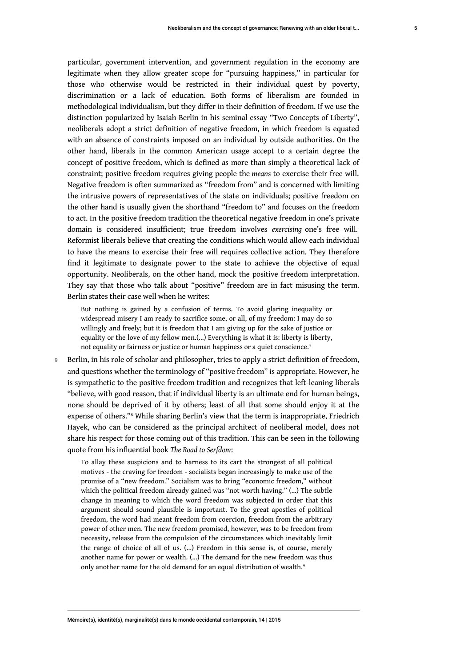particular, government intervention, and government regulation in the economy are legitimate when they allow greater scope for "pursuing happiness," in particular for those who otherwise would be restricted in their individual quest by poverty, discrimination or a lack of education. Both forms of liberalism are founded in methodological individualism, but they differ in their definition of freedom. If we use the distinction popularized by Isaiah Berlin in his seminal essay "Two Concepts of Liberty", neoliberals adopt a strict definition of negative freedom, in which freedom is equated with an absence of constraints imposed on an individual by outside authorities. On the other hand, liberals in the common American usage accept to a certain degree the concept of positive freedom, which is defined as more than simply a theoretical lack of constraint; positive freedom requires giving people the *means* to exercise their free will. Negative freedom is often summarized as "freedom from" and is concerned with limiting the intrusive powers of representatives of the state on individuals; positive freedom on the other hand is usually given the shorthand "freedom to" and focuses on the freedom to act. In the positive freedom tradition the theoretical negative freedom in one's private domain is considered insufficient; true freedom involves *exercising* one's free will. Reformist liberals believe that creating the conditions which would allow each individual to have the means to exercise their free will requires collective action. They therefore find it legitimate to designate power to the state to achieve the objective of equal opportunity. Neoliberals, on the other hand, mock the positive freedom interpretation. They say that those who talk about "positive" freedom are in fact misusing the term. Berlin states their case well when he writes:

<span id="page-5-0"></span>But nothing is gained by a confusion of terms. To avoid glaring inequality or widespread misery I am ready to sacrifice some, or all, of my freedom: I may do so willingly and freely; but it is freedom that I am giving up for the sake of justice or equality or the love of my fellow men.(…) Everything is what it is: liberty is liberty, not equality or fairness or justice or human happiness or a quiet conscience.[7](#page-9-6)

9 Berlin, in his role of scholar and philosopher, tries to apply a strict definition of freedom, and questions whether the terminology of "positive freedom" is appropriate. However, he is sympathetic to the positive freedom tradition and recognizes that left-leaning liberals "believe, with good reason, that if individual liberty is an ultimate end for human beings, none should be deprived of it by others; least of all that some should enjoy it at the expense of others."<sup>[8](#page-9-7)</sup> While sharing Berlin's view that the term is inappropriate, Friedrich Hayek, who can be considered as the principal architect of neoliberal model, does not share his respect for those coming out of this tradition. This can be seen in the following quote from his influential book *The Road to Serfdom*:

<span id="page-5-2"></span><span id="page-5-1"></span>To allay these suspicions and to harness to its cart the strongest of all political motives - the craving for freedom - socialists began increasingly to make use of the promise of a "new freedom." Socialism was to bring "economic freedom," without which the political freedom already gained was "not worth having." (…) The subtle change in meaning to which the word freedom was subjected in order that this argument should sound plausible is important. To the great apostles of political freedom, the word had meant freedom from coercion, freedom from the arbitrary power of other men. The new freedom promised, however, was to be freedom from necessity, release from the compulsion of the circumstances which inevitably limit the range of choice of all of us. (…) Freedom in this sense is, of course, merely another name for power or wealth. (…) The demand for the new freedom was thus only another name for the old demand for an equal distribution of wealth.<sup>[9](#page-9-8)</sup>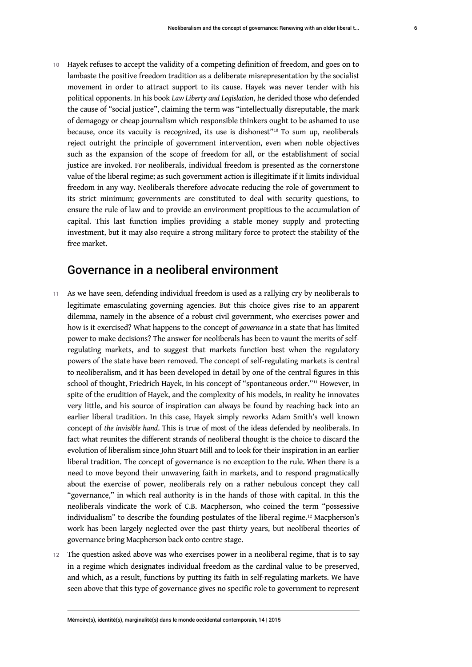<span id="page-6-0"></span>Hayek refuses to accept the validity of a competing definition of freedom, and goes on to lambaste the positive freedom tradition as a deliberate misrepresentation by the socialist movement in order to attract support to its cause. Hayek was never tender with his political opponents. In his book *Law Liberty and Legislation*, he derided those who defended the cause of "social justice", claiming the term was "intellectually disreputable, the mark of demagogy or cheap journalism which responsible thinkers ought to be ashamed to use because, once its vacuity is recognized, its use is dishonest"[10](#page-9-9) To sum up, neoliberals reject outright the principle of government intervention, even when noble objectives such as the expansion of the scope of freedom for all, or the establishment of social justice are invoked. For neoliberals, individual freedom is presented as the cornerstone value of the liberal regime; as such government action is illegitimate if it limits individual freedom in any way. Neoliberals therefore advocate reducing the role of government to its strict minimum; governments are constituted to deal with security questions, to ensure the rule of law and to provide an environment propitious to the accumulation of capital. This last function implies providing a stable money supply and protecting investment, but it may also require a strong military force to protect the stability of the free market.

# <span id="page-6-1"></span>Governance in a neoliberal environment

- 11 As we have seen, defending individual freedom is used as a rallying cry by neoliberals to legitimate emasculating governing agencies. But this choice gives rise to an apparent dilemma, namely in the absence of a robust civil government, who exercises power and how is it exercised? What happens to the concept of *governance* in a state that has limited power to make decisions? The answer for neoliberals has been to vaunt the merits of selfregulating markets, and to suggest that markets function best when the regulatory powers of the state have been removed. The concept of self-regulating markets is central to neoliberalism, and it has been developed in detail by one of the central figures in this school of thought, Friedrich Hayek, in his concept of "spontaneous order."[11](#page-9-10) However, in spite of the erudition of Hayek, and the complexity of his models, in reality he innovates very little, and his source of inspiration can always be found by reaching back into an earlier liberal tradition. In this case, Hayek simply reworks Adam Smith's well known concept of *the invisible hand*. This is true of most of the ideas defended by neoliberals. In fact what reunites the different strands of neoliberal thought is the choice to discard the evolution of liberalism since John Stuart Mill and to look for their inspiration in an earlier liberal tradition. The concept of governance is no exception to the rule. When there is a need to move beyond their unwavering faith in markets, and to respond pragmatically about the exercise of power, neoliberals rely on a rather nebulous concept they call "governance," in which real authority is in the hands of those with capital. In this the neoliberals vindicate the work of C.B. Macpherson, who coined the term "possessive individualism" to describe the founding postulates of the liberal regime.<sup>[12](#page-10-0)</sup> Macpherson's work has been largely neglected over the past thirty years, but neoliberal theories of governance bring Macpherson back onto centre stage.
- <span id="page-6-2"></span>12 The question asked above was who exercises power in a neoliberal regime, that is to say in a regime which designates individual freedom as the cardinal value to be preserved, and which, as a result, functions by putting its faith in self-regulating markets. We have seen above that this type of governance gives no specific role to government to represent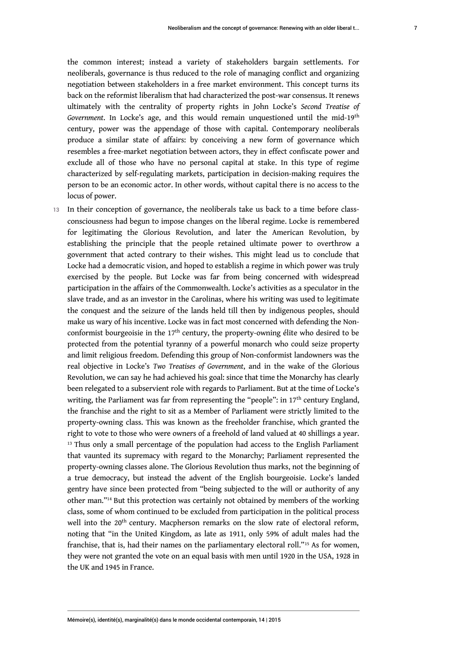the common interest; instead a variety of stakeholders bargain settlements. For neoliberals, governance is thus reduced to the role of managing conflict and organizing negotiation between stakeholders in a free market environment. This concept turns its back on the reformist liberalism that had characterized the post-war consensus. It renews ultimately with the centrality of property rights in John Locke's *Second Treatise of Government*. In Locke's age, and this would remain unquestioned until the mid-19th century, power was the appendage of those with capital. Contemporary neoliberals produce a similar state of affairs: by conceiving a new form of governance which resembles a free-market negotiation between actors, they in effect confiscate power and exclude all of those who have no personal capital at stake. In this type of regime characterized by self-regulating markets, participation in decision-making requires the person to be an economic actor. In other words, without capital there is no access to the locus of power.

<span id="page-7-2"></span><span id="page-7-1"></span><span id="page-7-0"></span>13 In their conception of governance, the neoliberals take us back to a time before classconsciousness had begun to impose changes on the liberal regime. Locke is remembered for legitimating the Glorious Revolution, and later the American Revolution, by establishing the principle that the people retained ultimate power to overthrow a government that acted contrary to their wishes. This might lead us to conclude that Locke had a democratic vision, and hoped to establish a regime in which power was truly exercised by the people. But Locke was far from being concerned with widespread participation in the affairs of the Commonwealth. Locke's activities as a speculator in the slave trade, and as an investor in the Carolinas, where his writing was used to legitimate the conquest and the seizure of the lands held till then by indigenous peoples, should make us wary of his incentive. Locke was in fact most concerned with defending the Nonconformist bourgeoisie in the  $17<sup>th</sup>$  century, the property-owning élite who desired to be protected from the potential tyranny of a powerful monarch who could seize property and limit religious freedom. Defending this group of Non-conformist landowners was the real objective in Locke's *Two Treatises of Government*, and in the wake of the Glorious Revolution, we can say he had achieved his goal: since that time the Monarchy has clearly been relegated to a subservient role with regards to Parliament. But at the time of Locke's writing, the Parliament was far from representing the "people": in 17<sup>th</sup> century England, the franchise and the right to sit as a Member of Parliament were strictly limited to the property-owning class. This was known as the freeholder franchise, which granted the right to vote to those who were owners of a freehold of land valued at 40 shillings a year.  $13$  Thus only a small percentage of the population had access to the English Parliament that vaunted its supremacy with regard to the Monarchy; Parliament represented the property-owning classes alone. The Glorious Revolution thus marks, not the beginning of a true democracy, but instead the advent of the English bourgeoisie. Locke's landed gentry have since been protected from "being subjected to the will or authority of any other man."[14](#page-10-2) But this protection was certainly not obtained by members of the working class, some of whom continued to be excluded from participation in the political process well into the 20<sup>th</sup> century. Macpherson remarks on the slow rate of electoral reform, noting that "in the United Kingdom, as late as 1911, only 59% of adult males had the franchise, that is, had their names on the parliamentary electoral roll."[15](#page-10-3) As for women, they were not granted the vote on an equal basis with men until 1920 in the USA, 1928 in the UK and 1945 in France.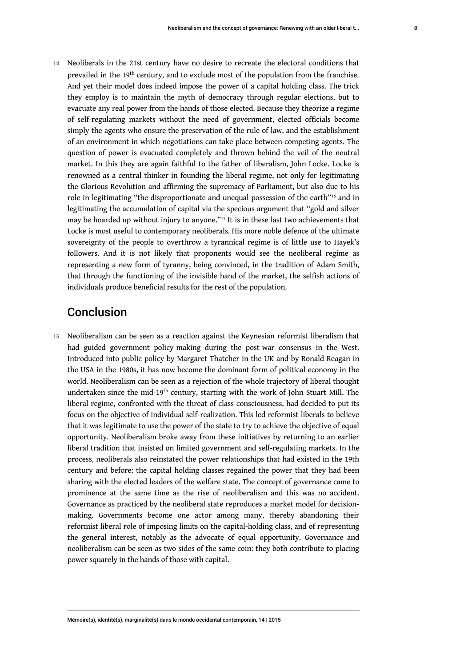14 Neoliberals in the 21st century have no desire to recreate the electoral conditions that prevailed in the 19th century, and to exclude most of the population from the franchise. And yet their model does indeed impose the power of a capital holding class. The trick they employ is to maintain the myth of democracy through regular elections, but to evacuate any real power from the hands of those elected. Because they theorize a regime of self-regulating markets without the need of government, elected officials become simply the agents who ensure the preservation of the rule of law, and the establishment of an environment in which negotiations can take place between competing agents. The question of power is evacuated completely and thrown behind the veil of the neutral market. In this they are again faithful to the father of liberalism, John Locke. Locke is renowned as a central thinker in founding the liberal regime, not only for legitimating the Glorious Revolution and affirming the supremacy of Parliament, but also due to his role in legitimating "the disproportionate and unequal possession of the earth"<sup>[16](#page-10-4)</sup> and in legitimating the accumulation of capital via the specious argument that "gold and silver may be hoarded up without injury to anyone."[17](#page-10-5) It is in these last two achievements that Locke is most useful to contemporary neoliberals. His more noble defence of the ultimate sovereignty of the people to overthrow a tyrannical regime is of little use to Hayek's followers. And it is not likely that proponents would see the neoliberal regime as representing a new form of tyranny, being convinced, in the tradition of Adam Smith, that through the functioning of the invisible hand of the market, the selfish actions of individuals produce beneficial results for the rest of the population.

## <span id="page-8-1"></span><span id="page-8-0"></span>Conclusion

15 Neoliberalism can be seen as a reaction against the Keynesian reformist liberalism that had guided government policy-making during the post-war consensus in the West. Introduced into public policy by Margaret Thatcher in the UK and by Ronald Reagan in the USA in the 1980s, it has now become the dominant form of political economy in the world. Neoliberalism can be seen as a rejection of the whole trajectory of liberal thought undertaken since the mid-19<sup>th</sup> century, starting with the work of John Stuart Mill. The liberal regime, confronted with the threat of class-consciousness, had decided to put its focus on the objective of individual self-realization. This led reformist liberals to believe that it was legitimate to use the power of the state to try to achieve the objective of equal opportunity. Neoliberalism broke away from these initiatives by returning to an earlier liberal tradition that insisted on limited government and self-regulating markets. In the process, neoliberals also reinstated the power relationships that had existed in the 19th century and before: the capital holding classes regained the power that they had been sharing with the elected leaders of the welfare state. The concept of governance came to prominence at the same time as the rise of neoliberalism and this was no accident. Governance as practiced by the neoliberal state reproduces a market model for decisionmaking. Governments become one actor among many, thereby abandoning their reformist liberal role of imposing limits on the capital-holding class, and of representing the general interest, notably as the advocate of equal opportunity. Governance and neoliberalism can be seen as two sides of the same coin: they both contribute to placing power squarely in the hands of those with capital.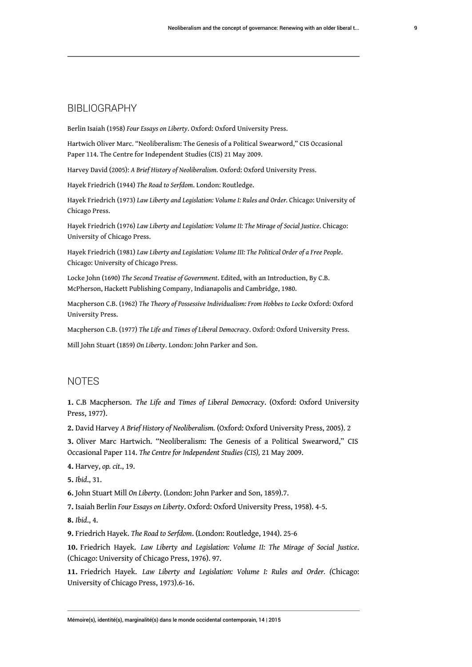#### BIBLIOGRAPHY

Berlin Isaiah (1958) *Four Essays on Liberty*. Oxford: Oxford University Press.

Hartwich Oliver Marc. "Neoliberalism: The Genesis of a Political Swearword," CIS Occasional Paper 114. The Centre for Independent Studies (CIS) 21 May 2009.

Harvey David (2005): *A Brief History of Neoliberalism.* Oxford: Oxford University Press.

Hayek Friedrich (1944) *The Road to Serfdom*. London: Routledge.

Hayek Friedrich (1973) *Law Liberty and Legislation: Volume I: Rules and Order.* Chicago: University of Chicago Press.

Hayek Friedrich (1976) *Law Liberty and Legislation: Volume II: The Mirage of Social Justice*. Chicago: University of Chicago Press.

Hayek Friedrich (1981) *Law Liberty and Legislation: Volume III: The Political Order of a Free People*. Chicago: University of Chicago Press.

Locke John (1690) *The Second Treatise of Government*. Edited, with an Introduction, By C.B. McPherson, Hackett Publishing Company, Indianapolis and Cambridge, 1980.

Macpherson C.B. (1962) *The Theory of Possessive Individualism: From Hobbes to Locke* Oxford: Oxford University Press.

Macpherson C.B. (1977) *The Life and Times of Liberal Democracy*. Oxford: Oxford University Press.

Mill John Stuart (1859) *On Liberty*. London: John Parker and Son.

#### **NOTES**

<span id="page-9-0"></span>**[1.](#page-1-0)** C.B Macpherson. *The Life and Times of Liberal Democracy*. (Oxford: Oxford University Press, 1977).

<span id="page-9-1"></span>**[2.](#page-2-0)** David Harvey *A Brief History of Neoliberalism.* (Oxford: Oxford University Press, 2005). 2

<span id="page-9-2"></span>**[3.](#page-3-0)** Oliver Marc Hartwich. "Neoliberalism: The Genesis of a Political Swearword," CIS Occasional Paper 114. *The Centre for Independent Studies (CIS),* 21 May 2009.

<span id="page-9-3"></span>**[4.](#page-4-0)** Harvey, *op. cit*., 19.

<span id="page-9-4"></span>**[5.](#page-4-1)** *Ibid*., 31.

<span id="page-9-5"></span>**[6.](#page-4-2)** John Stuart Mill *On Liberty*. (London: John Parker and Son, 1859).7.

<span id="page-9-6"></span>**[7.](#page-5-0)** Isaiah Berlin *Four Essays on Liberty*. Oxford: Oxford University Press, 1958). 4-5.

<span id="page-9-7"></span>**[8.](#page-5-1)** *Ibid*., 4.

<span id="page-9-8"></span>**[9.](#page-5-2)** Friedrich Hayek. *The Road to Serfdom*. (London: Routledge, 1944). 25-6

<span id="page-9-9"></span>**[10.](#page-6-0)** Friedrich Hayek. *Law Liberty and Legislation: Volume II: The Mirage of Social Justice*. (Chicago: University of Chicago Press, 1976). 97.

<span id="page-9-10"></span>**[11.](#page-6-1)** Friedrich Hayek. *Law Liberty and Legislation: Volume I: Rules and Order. (*Chicago: University of Chicago Press, 1973).6-16.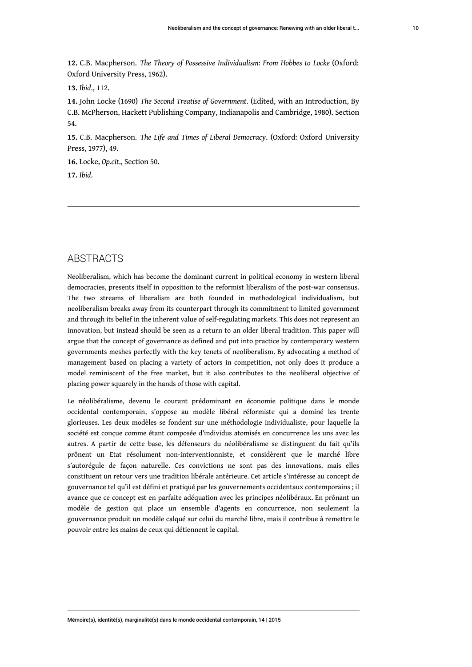<span id="page-10-0"></span>**[12.](#page-6-2)** C.B. Macpherson. *The Theory of Possessive Individualism: From Hobbes to Locke* (Oxford: Oxford University Press, 1962).

<span id="page-10-1"></span>**[13.](#page-7-0)** *Ibid*., 112.

<span id="page-10-2"></span>**[14.](#page-7-1)** John Locke (1690) *The Second Treatise of Government*. (Edited, with an Introduction, By C.B. McPherson, Hackett Publishing Company, Indianapolis and Cambridge, 1980). Section 54.

<span id="page-10-3"></span>**[15.](#page-7-2)** C.B. Macpherson. *The Life and Times of Liberal Democracy*. (Oxford: Oxford University Press, 1977), 49.

<span id="page-10-4"></span>**[16.](#page-8-0)** Locke, *Op.cit*., Section 50.

<span id="page-10-5"></span>**[17.](#page-8-1)** *Ibid*.

#### ABSTRACTS

Neoliberalism, which has become the dominant current in political economy in western liberal democracies, presents itself in opposition to the reformist liberalism of the post-war consensus. The two streams of liberalism are both founded in methodological individualism, but neoliberalism breaks away from its counterpart through its commitment to limited government and through its belief in the inherent value of self-regulating markets. This does not represent an innovation, but instead should be seen as a return to an older liberal tradition. This paper will argue that the concept of governance as defined and put into practice by contemporary western governments meshes perfectly with the key tenets of neoliberalism. By advocating a method of management based on placing a variety of actors in competition, not only does it produce a model reminiscent of the free market, but it also contributes to the neoliberal objective of placing power squarely in the hands of those with capital.

Le néolibéralisme, devenu le courant prédominant en économie politique dans le monde occidental contemporain, s'oppose au modèle libéral réformiste qui a dominé les trente glorieuses. Les deux modèles se fondent sur une méthodologie individualiste, pour laquelle la société est conçue comme étant composée d'individus atomisés en concurrence les uns avec les autres. A partir de cette base, les défenseurs du néolibéralisme se distinguent du fait qu'ils prônent un Etat résolument non-interventionniste, et considèrent que le marché libre s'autorégule de façon naturelle. Ces convictions ne sont pas des innovations, mais elles constituent un retour vers une tradition libérale antérieure. Cet article s'intéresse au concept de gouvernance tel qu'il est défini et pratiqué par les gouvernements occidentaux contemporains ; il avance que ce concept est en parfaite adéquation avec les principes néolibéraux. En prônant un modèle de gestion qui place un ensemble d'agents en concurrence, non seulement la gouvernance produit un modèle calqué sur celui du marché libre, mais il contribue à remettre le pouvoir entre les mains de ceux qui détiennent le capital.